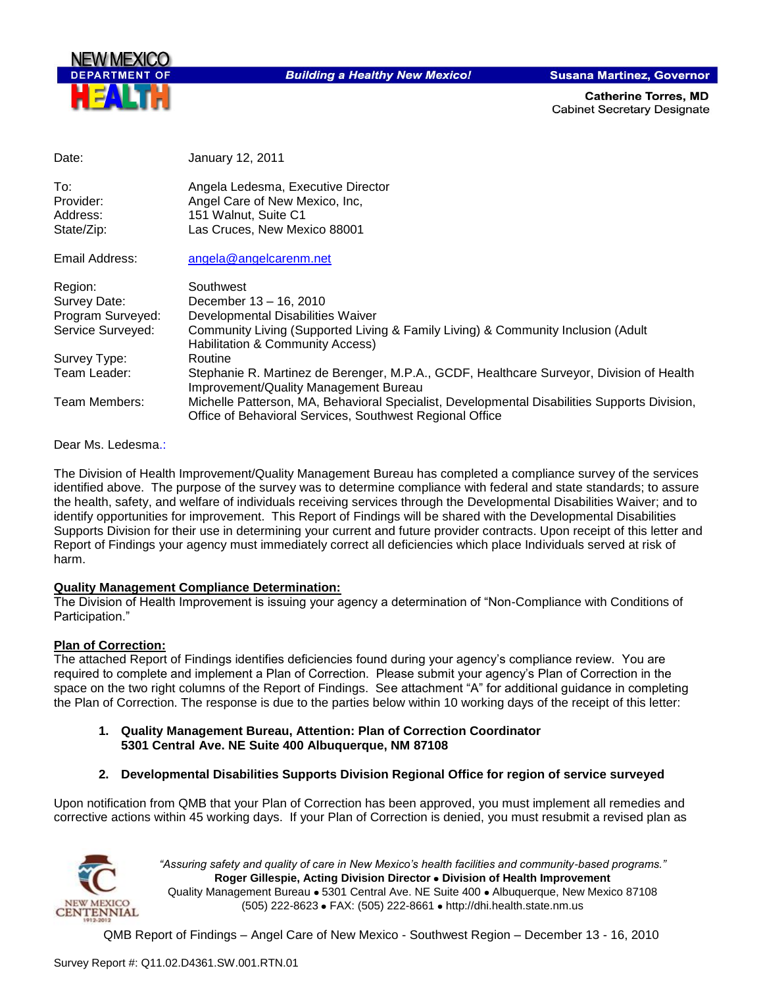

**Building a Healthy New Mexico!** 

**Susana Martinez, Governor** 

**Catherine Torres, MD Cabinet Secretary Designate** 

| Date:             | January 12, 2011                                                                                                                                         |
|-------------------|----------------------------------------------------------------------------------------------------------------------------------------------------------|
| To:               | Angela Ledesma, Executive Director                                                                                                                       |
| Provider:         | Angel Care of New Mexico, Inc.                                                                                                                           |
| Address:          | 151 Walnut, Suite C1                                                                                                                                     |
| State/Zip:        | Las Cruces, New Mexico 88001                                                                                                                             |
| Email Address:    | angela@angelcarenm.net                                                                                                                                   |
| Region:           | Southwest                                                                                                                                                |
| Survey Date:      | December 13 - 16, 2010                                                                                                                                   |
| Program Surveyed: | Developmental Disabilities Waiver                                                                                                                        |
| Service Surveyed: | Community Living (Supported Living & Family Living) & Community Inclusion (Adult<br><b>Habilitation &amp; Community Access)</b>                          |
| Survey Type:      | Routine                                                                                                                                                  |
| Team Leader:      | Stephanie R. Martinez de Berenger, M.P.A., GCDF, Healthcare Surveyor, Division of Health<br>Improvement/Quality Management Bureau                        |
| Team Members:     | Michelle Patterson, MA, Behavioral Specialist, Developmental Disabilities Supports Division,<br>Office of Behavioral Services, Southwest Regional Office |

#### Dear Ms. Ledesma.:

The Division of Health Improvement/Quality Management Bureau has completed a compliance survey of the services identified above. The purpose of the survey was to determine compliance with federal and state standards; to assure the health, safety, and welfare of individuals receiving services through the Developmental Disabilities Waiver; and to identify opportunities for improvement. This Report of Findings will be shared with the Developmental Disabilities Supports Division for their use in determining your current and future provider contracts. Upon receipt of this letter and Report of Findings your agency must immediately correct all deficiencies which place Individuals served at risk of harm.

#### **Quality Management Compliance Determination:**

The Division of Health Improvement is issuing your agency a determination of "Non-Compliance with Conditions of Participation."

#### **Plan of Correction:**

The attached Report of Findings identifies deficiencies found during your agency"s compliance review. You are required to complete and implement a Plan of Correction. Please submit your agency"s Plan of Correction in the space on the two right columns of the Report of Findings. See attachment "A" for additional guidance in completing the Plan of Correction. The response is due to the parties below within 10 working days of the receipt of this letter:

- **1. Quality Management Bureau, Attention: Plan of Correction Coordinator 5301 Central Ave. NE Suite 400 Albuquerque, NM 87108**
- **2. Developmental Disabilities Supports Division Regional Office for region of service surveyed**

Upon notification from QMB that your Plan of Correction has been approved, you must implement all remedies and corrective actions within 45 working days. If your Plan of Correction is denied, you must resubmit a revised plan as



*"Assuring safety and quality of care in New Mexico's health facilities and community-based programs."* **Roger Gillespie, Acting Division Director Division of Health Improvement**  Quality Management Bureau • 5301 Central Ave. NE Suite 400 • Albuquerque, New Mexico 87108 (505) 222-8623 • FAX: (505) 222-8661 • http://dhi.health.state.nm.us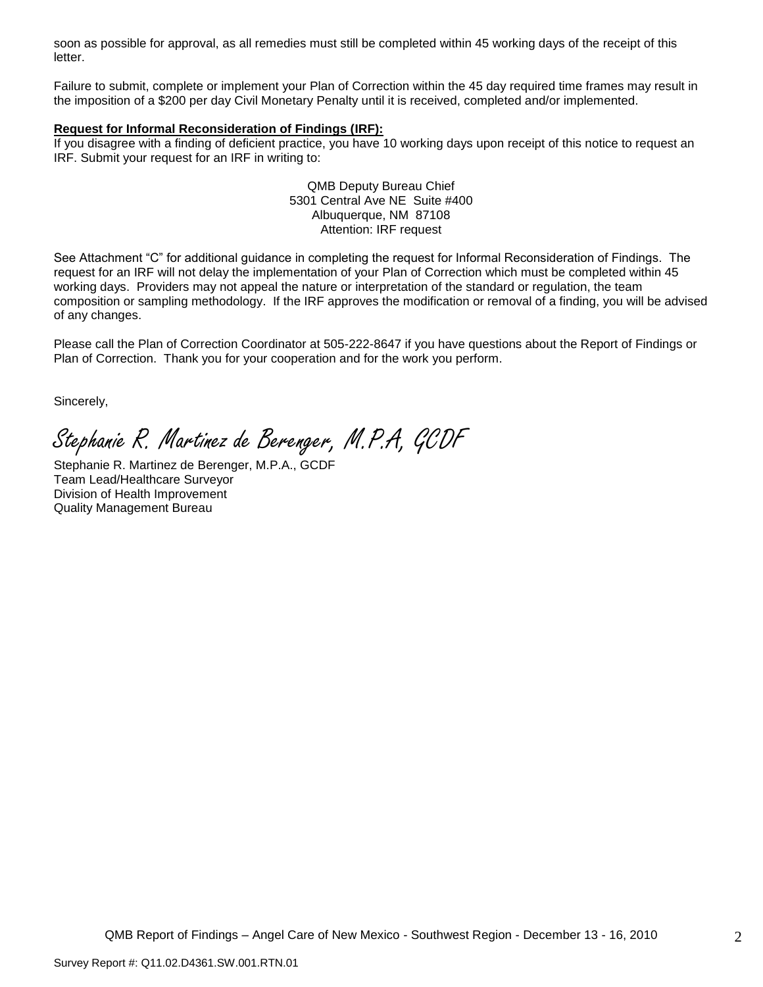soon as possible for approval, as all remedies must still be completed within 45 working days of the receipt of this letter.

Failure to submit, complete or implement your Plan of Correction within the 45 day required time frames may result in the imposition of a \$200 per day Civil Monetary Penalty until it is received, completed and/or implemented.

#### **Request for Informal Reconsideration of Findings (IRF):**

If you disagree with a finding of deficient practice, you have 10 working days upon receipt of this notice to request an IRF. Submit your request for an IRF in writing to:

> QMB Deputy Bureau Chief 5301 Central Ave NE Suite #400 Albuquerque, NM 87108 Attention: IRF request

See Attachment "C" for additional guidance in completing the request for Informal Reconsideration of Findings. The request for an IRF will not delay the implementation of your Plan of Correction which must be completed within 45 working days. Providers may not appeal the nature or interpretation of the standard or regulation, the team composition or sampling methodology. If the IRF approves the modification or removal of a finding, you will be advised of any changes.

Please call the Plan of Correction Coordinator at 505-222-8647 if you have questions about the Report of Findings or Plan of Correction. Thank you for your cooperation and for the work you perform.

Sincerely,

Stephanie R. Martinez de Berenger, M.P.A, GCDF

Stephanie R. Martinez de Berenger, M.P.A., GCDF Team Lead/Healthcare Surveyor Division of Health Improvement Quality Management Bureau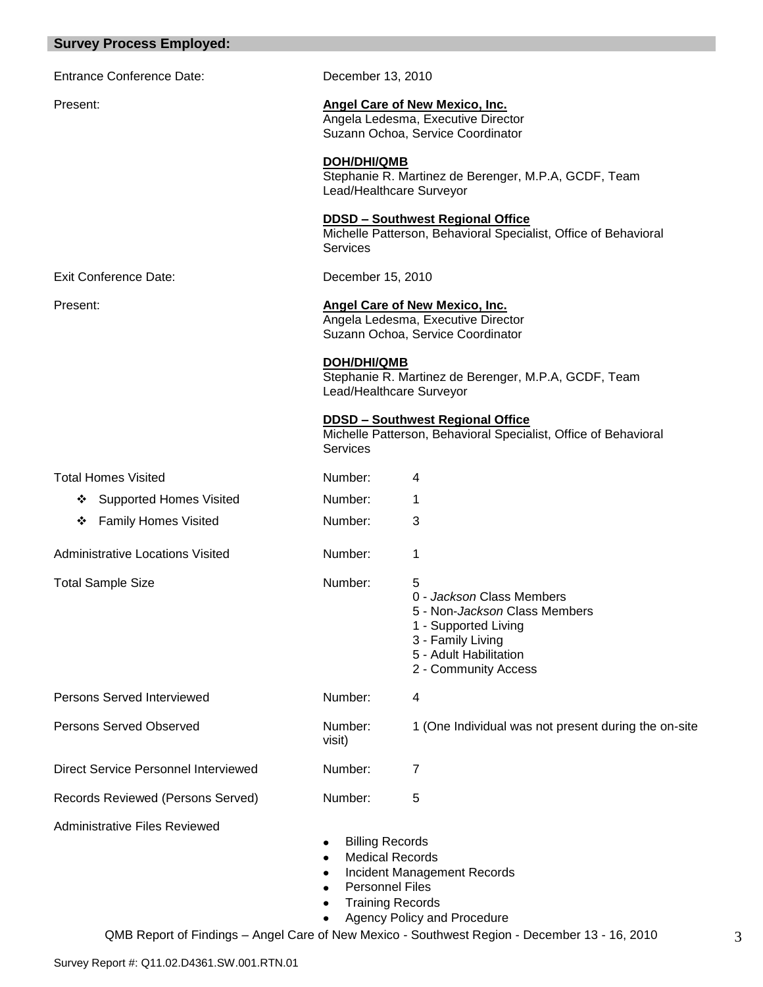|  |  | <b>Survey Process Employed:</b> |  |
|--|--|---------------------------------|--|
|--|--|---------------------------------|--|

Entrance Conference Date: December 13, 2010

#### Present: **Angel Care of New Mexico, Inc.**

Angela Ledesma, Executive Director Suzann Ochoa, Service Coordinator

# **DOH/DHI/QMB**

Stephanie R. Martinez de Berenger, M.P.A, GCDF, Team Lead/Healthcare Surveyor

#### **DDSD – Southwest Regional Office**

Michelle Patterson, Behavioral Specialist, Office of Behavioral Services

Exit Conference Date: December 15, 2010

# Present: **Angel Care of New Mexico, Inc.**

Angela Ledesma, Executive Director Suzann Ochoa, Service Coordinator

**DOH/DHI/QMB**

Stephanie R. Martinez de Berenger, M.P.A, GCDF, Team Lead/Healthcare Surveyor

#### **DDSD – Southwest Regional Office**

Michelle Patterson, Behavioral Specialist, Office of Behavioral **Services** 

| <b>Total Homes Visited</b>                  | Number:                                                                              | 4                                                                                                                                                              |
|---------------------------------------------|--------------------------------------------------------------------------------------|----------------------------------------------------------------------------------------------------------------------------------------------------------------|
| <b>Supported Homes Visited</b><br>❖         | Number:                                                                              |                                                                                                                                                                |
| <b>Family Homes Visited</b><br>❖            | Number:                                                                              | 3                                                                                                                                                              |
| <b>Administrative Locations Visited</b>     | Number:                                                                              | 1                                                                                                                                                              |
| <b>Total Sample Size</b>                    | Number:                                                                              | 5<br>0 - Jackson Class Members<br>5 - Non-Jackson Class Members<br>1 - Supported Living<br>3 - Family Living<br>5 - Adult Habilitation<br>2 - Community Access |
| <b>Persons Served Interviewed</b>           | Number:                                                                              | 4                                                                                                                                                              |
| <b>Persons Served Observed</b>              | Number:<br>visit)                                                                    | 1 (One Individual was not present during the on-site                                                                                                           |
| <b>Direct Service Personnel Interviewed</b> | Number:                                                                              | 7                                                                                                                                                              |
| Records Reviewed (Persons Served)           | Number:                                                                              | 5                                                                                                                                                              |
| Administrative Files Reviewed               | <b>Billing Records</b><br>٠<br><b>Medical Records</b><br>٠<br><b>Personnel Files</b> | Incident Management Records                                                                                                                                    |

- 
- Training Records
- Agency Policy and Procedure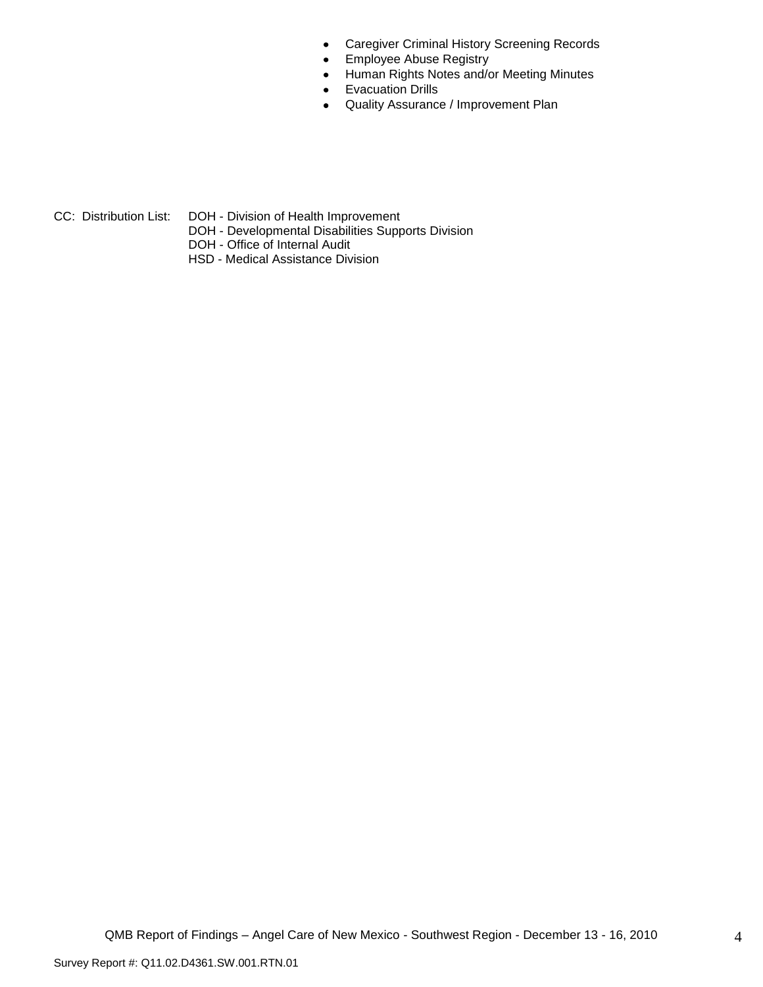- Caregiver Criminal History Screening Records  $\bullet$
- Employee Abuse Registry  $\bullet$
- Human Rights Notes and/or Meeting Minutes  $\bullet$
- Evacuation Drills  $\bullet$
- Quality Assurance / Improvement Plan  $\bullet$

- 
- CC: Distribution List: DOH Division of Health Improvement
	- DOH Developmental Disabilities Supports Division
	- DOH Office of Internal Audit
	- HSD Medical Assistance Division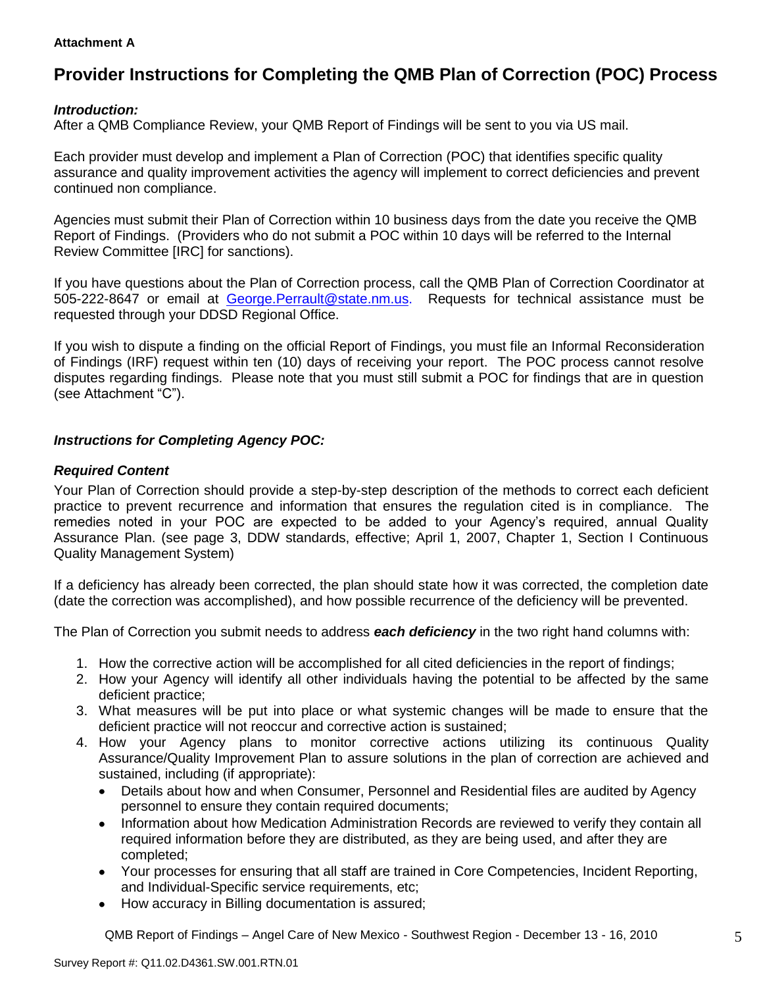#### **Attachment A**

# **Provider Instructions for Completing the QMB Plan of Correction (POC) Process**

# *Introduction:*

After a QMB Compliance Review, your QMB Report of Findings will be sent to you via US mail.

Each provider must develop and implement a Plan of Correction (POC) that identifies specific quality assurance and quality improvement activities the agency will implement to correct deficiencies and prevent continued non compliance.

Agencies must submit their Plan of Correction within 10 business days from the date you receive the QMB Report of Findings. (Providers who do not submit a POC within 10 days will be referred to the Internal Review Committee [IRC] for sanctions).

If you have questions about the Plan of Correction process, call the QMB Plan of Correction Coordinator at 505-222-8647 or email at George.Perrault@state.nm.us. Requests for technical assistance must be requested through your DDSD Regional Office.

If you wish to dispute a finding on the official Report of Findings, you must file an Informal Reconsideration of Findings (IRF) request within ten (10) days of receiving your report. The POC process cannot resolve disputes regarding findings. Please note that you must still submit a POC for findings that are in question (see Attachment "C").

# *Instructions for Completing Agency POC:*

## *Required Content*

Your Plan of Correction should provide a step-by-step description of the methods to correct each deficient practice to prevent recurrence and information that ensures the regulation cited is in compliance. The remedies noted in your POC are expected to be added to your Agency"s required, annual Quality Assurance Plan. (see page 3, DDW standards, effective; April 1, 2007, Chapter 1, Section I Continuous Quality Management System)

If a deficiency has already been corrected, the plan should state how it was corrected, the completion date (date the correction was accomplished), and how possible recurrence of the deficiency will be prevented.

The Plan of Correction you submit needs to address *each deficiency* in the two right hand columns with:

- 1. How the corrective action will be accomplished for all cited deficiencies in the report of findings;
- 2. How your Agency will identify all other individuals having the potential to be affected by the same deficient practice;
- 3. What measures will be put into place or what systemic changes will be made to ensure that the deficient practice will not reoccur and corrective action is sustained;
- 4. How your Agency plans to monitor corrective actions utilizing its continuous Quality Assurance/Quality Improvement Plan to assure solutions in the plan of correction are achieved and sustained, including (if appropriate):
	- Details about how and when Consumer, Personnel and Residential files are audited by Agency  $\bullet$ personnel to ensure they contain required documents;
	- Information about how Medication Administration Records are reviewed to verify they contain all  $\bullet$ required information before they are distributed, as they are being used, and after they are completed;
	- Your processes for ensuring that all staff are trained in Core Competencies, Incident Reporting, and Individual-Specific service requirements, etc;
	- How accuracy in Billing documentation is assured;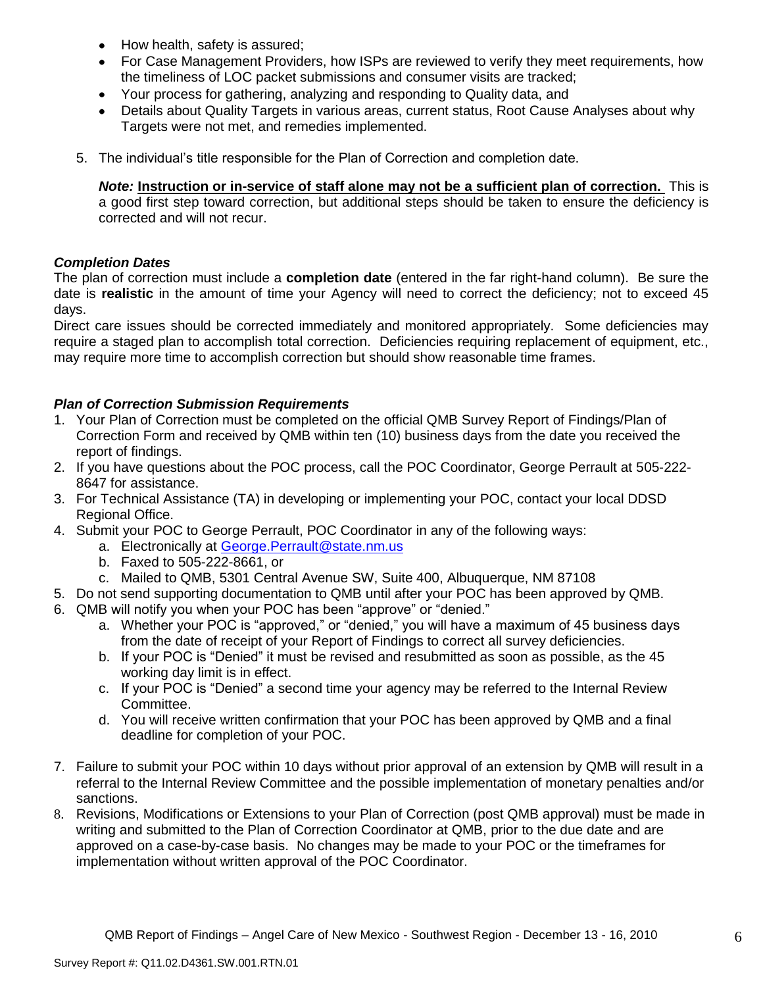- How health, safety is assured;  $\bullet$
- For Case Management Providers, how ISPs are reviewed to verify they meet requirements, how the timeliness of LOC packet submissions and consumer visits are tracked;
- $\bullet$ Your process for gathering, analyzing and responding to Quality data, and
- Details about Quality Targets in various areas, current status, Root Cause Analyses about why Targets were not met, and remedies implemented.
- 5. The individual"s title responsible for the Plan of Correction and completion date.

*Note:* **Instruction or in-service of staff alone may not be a sufficient plan of correction.** This is a good first step toward correction, but additional steps should be taken to ensure the deficiency is corrected and will not recur.

## *Completion Dates*

The plan of correction must include a **completion date** (entered in the far right-hand column). Be sure the date is **realistic** in the amount of time your Agency will need to correct the deficiency; not to exceed 45 days.

Direct care issues should be corrected immediately and monitored appropriately. Some deficiencies may require a staged plan to accomplish total correction. Deficiencies requiring replacement of equipment, etc., may require more time to accomplish correction but should show reasonable time frames.

# *Plan of Correction Submission Requirements*

- 1. Your Plan of Correction must be completed on the official QMB Survey Report of Findings/Plan of Correction Form and received by QMB within ten (10) business days from the date you received the report of findings.
- 2. If you have questions about the POC process, call the POC Coordinator, George Perrault at 505-222- 8647 for assistance.
- 3. For Technical Assistance (TA) in developing or implementing your POC, contact your local DDSD Regional Office.
- 4. Submit your POC to George Perrault, POC Coordinator in any of the following ways:
	- a. Electronically at [George.Perrault@state.nm.us](mailto:George.Perrault@state.nm.us)
	- b. Faxed to 505-222-8661, or
	- c. Mailed to QMB, 5301 Central Avenue SW, Suite 400, Albuquerque, NM 87108
- 5. Do not send supporting documentation to QMB until after your POC has been approved by QMB.
- 6. QMB will notify you when your POC has been "approve" or "denied."
	- a. Whether your POC is "approved," or "denied," you will have a maximum of 45 business days from the date of receipt of your Report of Findings to correct all survey deficiencies.
	- b. If your POC is "Denied" it must be revised and resubmitted as soon as possible, as the 45 working day limit is in effect.
	- c. If your POC is "Denied" a second time your agency may be referred to the Internal Review Committee.
	- d. You will receive written confirmation that your POC has been approved by QMB and a final deadline for completion of your POC.
- 7. Failure to submit your POC within 10 days without prior approval of an extension by QMB will result in a referral to the Internal Review Committee and the possible implementation of monetary penalties and/or sanctions.
- 8. Revisions, Modifications or Extensions to your Plan of Correction (post QMB approval) must be made in writing and submitted to the Plan of Correction Coordinator at QMB, prior to the due date and are approved on a case-by-case basis. No changes may be made to your POC or the timeframes for implementation without written approval of the POC Coordinator.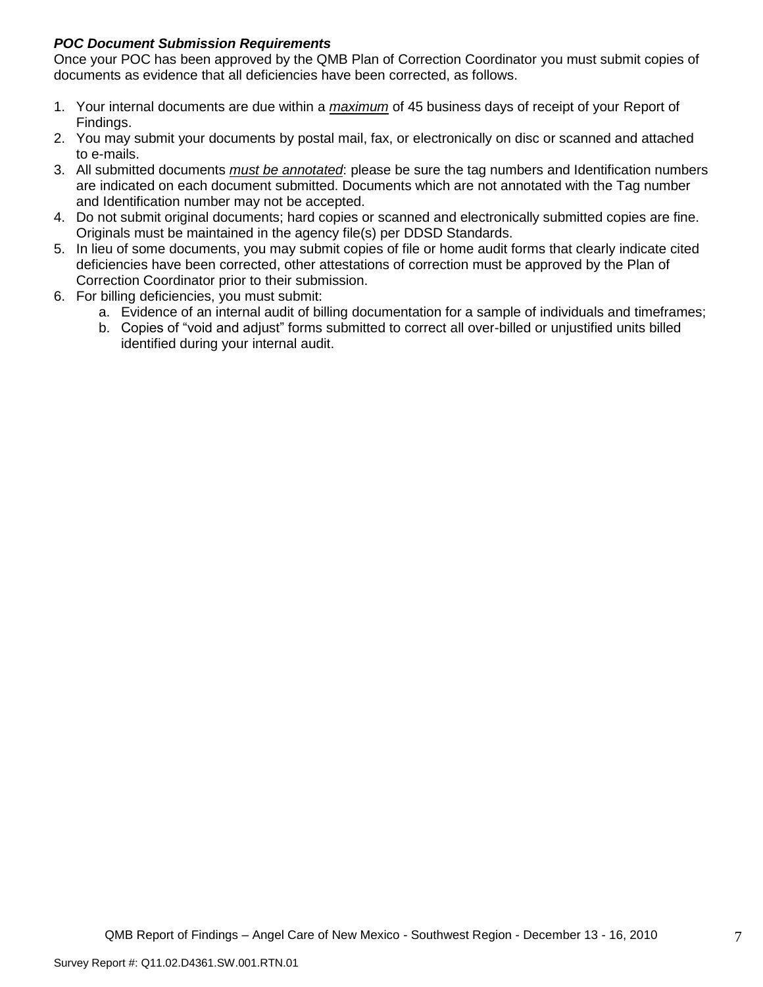# *POC Document Submission Requirements*

Once your POC has been approved by the QMB Plan of Correction Coordinator you must submit copies of documents as evidence that all deficiencies have been corrected, as follows.

- 1. Your internal documents are due within a *maximum* of 45 business days of receipt of your Report of Findings.
- 2. You may submit your documents by postal mail, fax, or electronically on disc or scanned and attached to e-mails.
- 3. All submitted documents *must be annotated*: please be sure the tag numbers and Identification numbers are indicated on each document submitted. Documents which are not annotated with the Tag number and Identification number may not be accepted.
- 4. Do not submit original documents; hard copies or scanned and electronically submitted copies are fine. Originals must be maintained in the agency file(s) per DDSD Standards.
- 5. In lieu of some documents, you may submit copies of file or home audit forms that clearly indicate cited deficiencies have been corrected, other attestations of correction must be approved by the Plan of Correction Coordinator prior to their submission.
- 6. For billing deficiencies, you must submit:
	- a. Evidence of an internal audit of billing documentation for a sample of individuals and timeframes;
	- b. Copies of "void and adjust" forms submitted to correct all over-billed or unjustified units billed identified during your internal audit.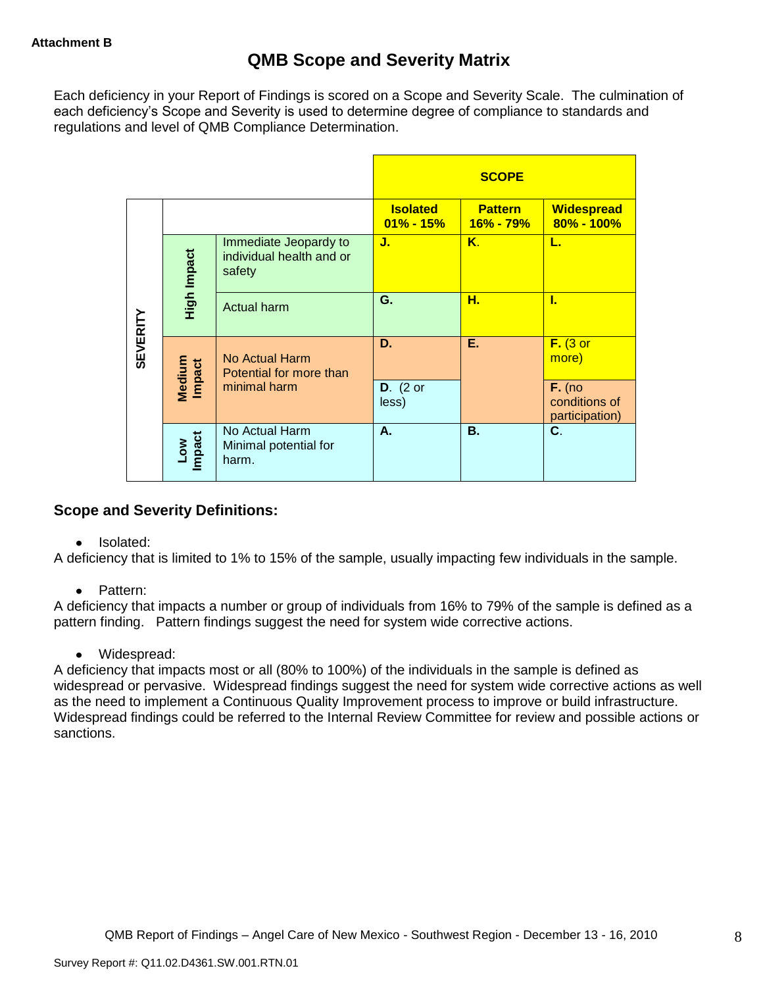Each deficiency in your Report of Findings is scored on a Scope and Severity Scale. The culmination of each deficiency"s Scope and Severity is used to determine degree of compliance to standards and regulations and level of QMB Compliance Determination.

|                 |                      |                                                             | <b>SCOPE</b>                     |                             |                                             |
|-----------------|----------------------|-------------------------------------------------------------|----------------------------------|-----------------------------|---------------------------------------------|
|                 |                      |                                                             | <b>Isolated</b><br>$01\% - 15\%$ | <b>Pattern</b><br>16% - 79% | <b>Widespread</b><br>80% - 100%             |
|                 | High Impact          | Immediate Jeopardy to<br>individual health and or<br>safety | J.                               | Κ.                          | L.                                          |
|                 |                      | <b>Actual harm</b>                                          | G.                               | н.                          | L                                           |
| <b>SEVERITY</b> | Medium<br>Impact     | No Actual Harm<br>Potential for more than                   | D.                               | Ε.                          | $F.$ (3 or<br>more)                         |
|                 |                      | minimal harm                                                | $D.$ (2 or<br>less)              |                             | $F.$ (no<br>conditions of<br>participation) |
|                 | <b>Impact</b><br>Low | No Actual Harm<br>Minimal potential for<br>harm.            | А.                               | <b>B.</b>                   | C.                                          |

# **Scope and Severity Definitions:**

• Isolated:

A deficiency that is limited to 1% to 15% of the sample, usually impacting few individuals in the sample.

• Pattern:

A deficiency that impacts a number or group of individuals from 16% to 79% of the sample is defined as a pattern finding. Pattern findings suggest the need for system wide corrective actions.

• Widespread:

A deficiency that impacts most or all (80% to 100%) of the individuals in the sample is defined as widespread or pervasive. Widespread findings suggest the need for system wide corrective actions as well as the need to implement a Continuous Quality Improvement process to improve or build infrastructure. Widespread findings could be referred to the Internal Review Committee for review and possible actions or sanctions.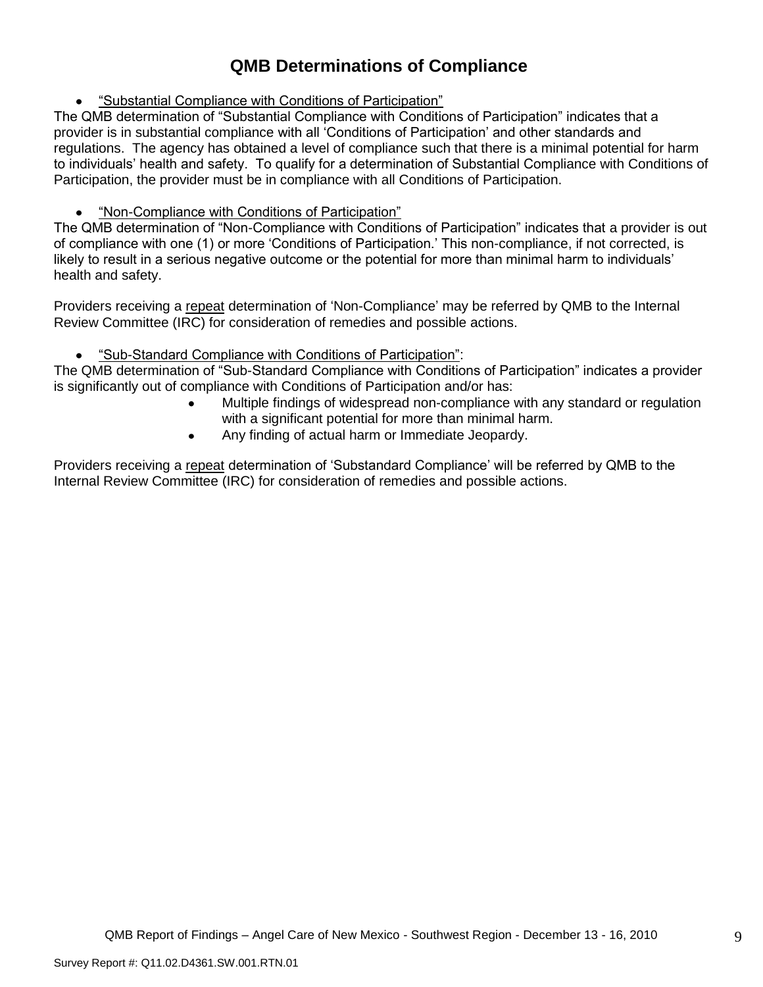# **QMB Determinations of Compliance**

"Substantial Compliance with Conditions of Participation"

The QMB determination of "Substantial Compliance with Conditions of Participation" indicates that a provider is in substantial compliance with all "Conditions of Participation" and other standards and regulations. The agency has obtained a level of compliance such that there is a minimal potential for harm to individuals" health and safety. To qualify for a determination of Substantial Compliance with Conditions of Participation, the provider must be in compliance with all Conditions of Participation.

# "Non-Compliance with Conditions of Participation"

The QMB determination of "Non-Compliance with Conditions of Participation" indicates that a provider is out of compliance with one (1) or more "Conditions of Participation." This non-compliance, if not corrected, is likely to result in a serious negative outcome or the potential for more than minimal harm to individuals' health and safety.

Providers receiving a repeat determination of 'Non-Compliance' may be referred by QMB to the Internal Review Committee (IRC) for consideration of remedies and possible actions.

#### $\bullet$ "Sub-Standard Compliance with Conditions of Participation":

The QMB determination of "Sub-Standard Compliance with Conditions of Participation" indicates a provider is significantly out of compliance with Conditions of Participation and/or has:

- Multiple findings of widespread non-compliance with any standard or regulation with a significant potential for more than minimal harm.
- Any finding of actual harm or Immediate Jeopardy.  $\bullet$

Providers receiving a repeat determination of 'Substandard Compliance' will be referred by QMB to the Internal Review Committee (IRC) for consideration of remedies and possible actions.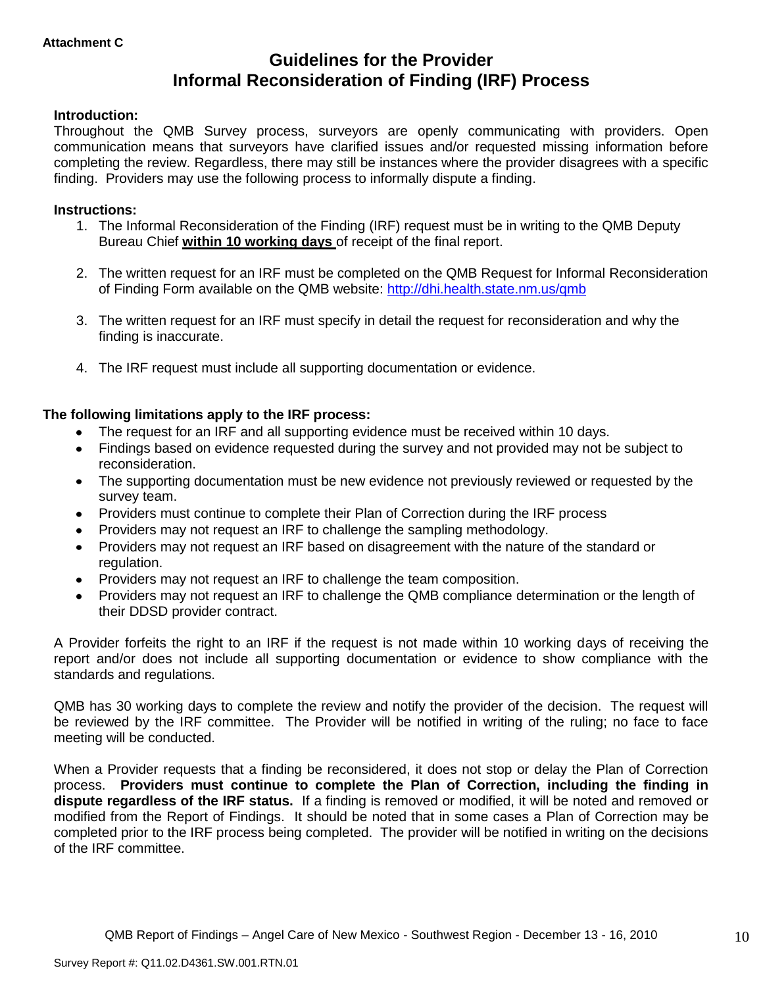# **Guidelines for the Provider Informal Reconsideration of Finding (IRF) Process**

### **Introduction:**

Throughout the QMB Survey process, surveyors are openly communicating with providers. Open communication means that surveyors have clarified issues and/or requested missing information before completing the review. Regardless, there may still be instances where the provider disagrees with a specific finding. Providers may use the following process to informally dispute a finding.

#### **Instructions:**

- 1. The Informal Reconsideration of the Finding (IRF) request must be in writing to the QMB Deputy Bureau Chief **within 10 working days** of receipt of the final report.
- 2. The written request for an IRF must be completed on the QMB Request for Informal Reconsideration of Finding Form available on the QMB website:<http://dhi.health.state.nm.us/qmb>
- 3. The written request for an IRF must specify in detail the request for reconsideration and why the finding is inaccurate.
- 4. The IRF request must include all supporting documentation or evidence.

## **The following limitations apply to the IRF process:**

- The request for an IRF and all supporting evidence must be received within 10 days.
- Findings based on evidence requested during the survey and not provided may not be subject to reconsideration.
- The supporting documentation must be new evidence not previously reviewed or requested by the survey team.
- Providers must continue to complete their Plan of Correction during the IRF process  $\bullet$
- Providers may not request an IRF to challenge the sampling methodology.
- Providers may not request an IRF based on disagreement with the nature of the standard or  $\bullet$ regulation.
- Providers may not request an IRF to challenge the team composition.
- Providers may not request an IRF to challenge the QMB compliance determination or the length of  $\bullet$ their DDSD provider contract.

A Provider forfeits the right to an IRF if the request is not made within 10 working days of receiving the report and/or does not include all supporting documentation or evidence to show compliance with the standards and regulations.

QMB has 30 working days to complete the review and notify the provider of the decision. The request will be reviewed by the IRF committee. The Provider will be notified in writing of the ruling; no face to face meeting will be conducted.

When a Provider requests that a finding be reconsidered, it does not stop or delay the Plan of Correction process. **Providers must continue to complete the Plan of Correction, including the finding in dispute regardless of the IRF status.** If a finding is removed or modified, it will be noted and removed or modified from the Report of Findings. It should be noted that in some cases a Plan of Correction may be completed prior to the IRF process being completed. The provider will be notified in writing on the decisions of the IRF committee.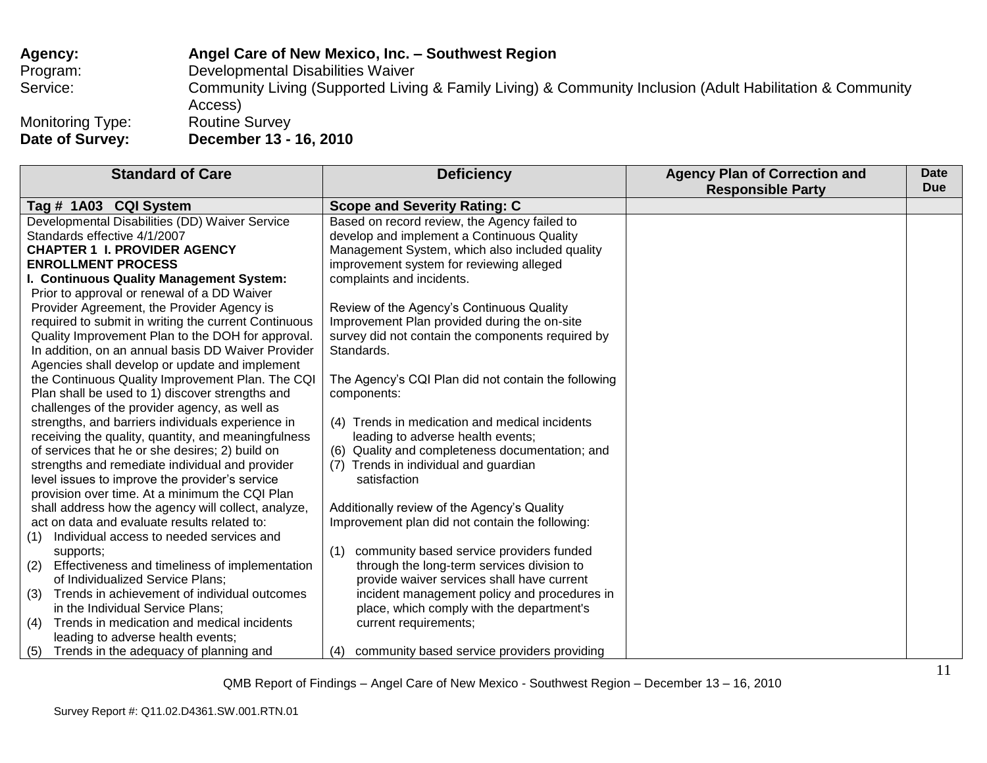# **Agency: Angel Care of New Mexico, Inc. – Southwest Region** Program: Developmental Disabilities Waiver Service: Community Living (Supported Living & Family Living) & Community Inclusion (Adult Habilitation & Community Access)<br>Routine Survey Monitoring Type:<br>Date of Survey: **Date of Survey: December 13 - 16, 2010**

| <b>Standard of Care</b>                                                                             | <b>Deficiency</b>                                                                              | <b>Agency Plan of Correction and</b><br><b>Responsible Party</b> | <b>Date</b><br><b>Due</b> |
|-----------------------------------------------------------------------------------------------------|------------------------------------------------------------------------------------------------|------------------------------------------------------------------|---------------------------|
| Tag # 1A03 CQI System                                                                               | <b>Scope and Severity Rating: C</b>                                                            |                                                                  |                           |
| Developmental Disabilities (DD) Waiver Service                                                      | Based on record review, the Agency failed to                                                   |                                                                  |                           |
| Standards effective 4/1/2007                                                                        | develop and implement a Continuous Quality                                                     |                                                                  |                           |
| <b>CHAPTER 1 I. PROVIDER AGENCY</b>                                                                 | Management System, which also included quality                                                 |                                                                  |                           |
| <b>ENROLLMENT PROCESS</b>                                                                           | improvement system for reviewing alleged                                                       |                                                                  |                           |
| I. Continuous Quality Management System:                                                            | complaints and incidents.                                                                      |                                                                  |                           |
| Prior to approval or renewal of a DD Waiver                                                         |                                                                                                |                                                                  |                           |
| Provider Agreement, the Provider Agency is                                                          | Review of the Agency's Continuous Quality                                                      |                                                                  |                           |
| required to submit in writing the current Continuous                                                | Improvement Plan provided during the on-site                                                   |                                                                  |                           |
| Quality Improvement Plan to the DOH for approval.                                                   | survey did not contain the components required by                                              |                                                                  |                           |
| In addition, on an annual basis DD Waiver Provider                                                  | Standards.                                                                                     |                                                                  |                           |
| Agencies shall develop or update and implement                                                      |                                                                                                |                                                                  |                           |
| the Continuous Quality Improvement Plan. The CQI                                                    | The Agency's CQI Plan did not contain the following                                            |                                                                  |                           |
| Plan shall be used to 1) discover strengths and                                                     | components:                                                                                    |                                                                  |                           |
| challenges of the provider agency, as well as                                                       |                                                                                                |                                                                  |                           |
| strengths, and barriers individuals experience in                                                   | (4) Trends in medication and medical incidents                                                 |                                                                  |                           |
| receiving the quality, quantity, and meaningfulness                                                 | leading to adverse health events;                                                              |                                                                  |                           |
| of services that he or she desires; 2) build on                                                     | (6) Quality and completeness documentation; and                                                |                                                                  |                           |
| strengths and remediate individual and provider                                                     | (7) Trends in individual and guardian                                                          |                                                                  |                           |
| level issues to improve the provider's service                                                      | satisfaction                                                                                   |                                                                  |                           |
| provision over time. At a minimum the CQI Plan                                                      |                                                                                                |                                                                  |                           |
| shall address how the agency will collect, analyze,<br>act on data and evaluate results related to: | Additionally review of the Agency's Quality<br>Improvement plan did not contain the following: |                                                                  |                           |
| Individual access to needed services and<br>(1)                                                     |                                                                                                |                                                                  |                           |
| supports;                                                                                           | community based service providers funded<br>(1)                                                |                                                                  |                           |
| Effectiveness and timeliness of implementation<br>(2)                                               | through the long-term services division to                                                     |                                                                  |                           |
| of Individualized Service Plans;                                                                    | provide waiver services shall have current                                                     |                                                                  |                           |
| Trends in achievement of individual outcomes<br>(3)                                                 | incident management policy and procedures in                                                   |                                                                  |                           |
| in the Individual Service Plans;                                                                    | place, which comply with the department's                                                      |                                                                  |                           |
| Trends in medication and medical incidents<br>(4)                                                   | current requirements;                                                                          |                                                                  |                           |
| leading to adverse health events;                                                                   |                                                                                                |                                                                  |                           |
| Trends in the adequacy of planning and<br>(5)                                                       | community based service providers providing<br>(4)                                             |                                                                  |                           |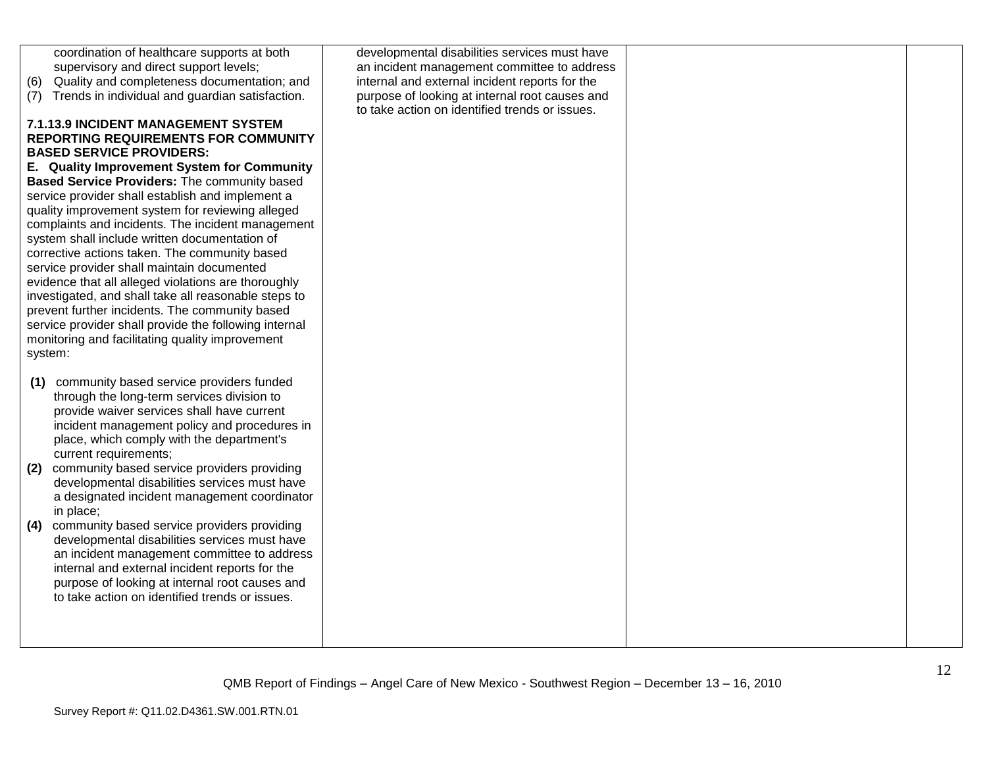| coordination of healthcare supports at both<br>supervisory and direct support levels;<br>Quality and completeness documentation; and<br>(6)<br>(7) Trends in individual and guardian satisfaction.<br><b>7.1.13.9 INCIDENT MANAGEMENT SYSTEM</b><br><b>REPORTING REQUIREMENTS FOR COMMUNITY</b><br><b>BASED SERVICE PROVIDERS:</b><br>E. Quality Improvement System for Community<br>Based Service Providers: The community based<br>service provider shall establish and implement a<br>quality improvement system for reviewing alleged<br>complaints and incidents. The incident management<br>system shall include written documentation of<br>corrective actions taken. The community based<br>service provider shall maintain documented<br>evidence that all alleged violations are thoroughly<br>investigated, and shall take all reasonable steps to<br>prevent further incidents. The community based<br>service provider shall provide the following internal<br>monitoring and facilitating quality improvement<br>system: | developmental disabilities services must have<br>an incident management committee to address<br>internal and external incident reports for the<br>purpose of looking at internal root causes and<br>to take action on identified trends or issues. |  |
|----------------------------------------------------------------------------------------------------------------------------------------------------------------------------------------------------------------------------------------------------------------------------------------------------------------------------------------------------------------------------------------------------------------------------------------------------------------------------------------------------------------------------------------------------------------------------------------------------------------------------------------------------------------------------------------------------------------------------------------------------------------------------------------------------------------------------------------------------------------------------------------------------------------------------------------------------------------------------------------------------------------------------------------|----------------------------------------------------------------------------------------------------------------------------------------------------------------------------------------------------------------------------------------------------|--|
| (1) community based service providers funded<br>through the long-term services division to<br>provide waiver services shall have current<br>incident management policy and procedures in<br>place, which comply with the department's<br>current requirements;<br>(2) community based service providers providing<br>developmental disabilities services must have<br>a designated incident management coordinator<br>in place;<br>(4) community based service providers providing<br>developmental disabilities services must have<br>an incident management committee to address<br>internal and external incident reports for the<br>purpose of looking at internal root causes and<br>to take action on identified trends or issues.                                                                                                                                                                                                                                                                                               |                                                                                                                                                                                                                                                    |  |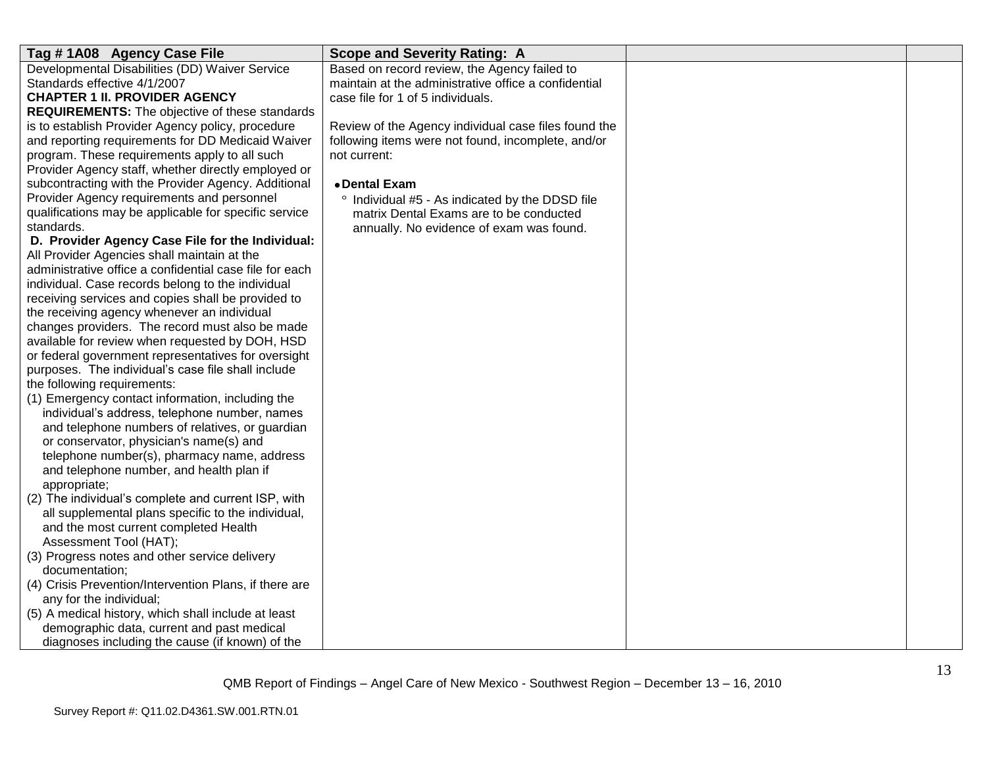| Tag #1A08 Agency Case File                              | <b>Scope and Severity Rating: A</b>                  |  |
|---------------------------------------------------------|------------------------------------------------------|--|
| Developmental Disabilities (DD) Waiver Service          | Based on record review, the Agency failed to         |  |
| Standards effective 4/1/2007                            | maintain at the administrative office a confidential |  |
| <b>CHAPTER 1 II. PROVIDER AGENCY</b>                    | case file for 1 of 5 individuals.                    |  |
| <b>REQUIREMENTS:</b> The objective of these standards   |                                                      |  |
| is to establish Provider Agency policy, procedure       | Review of the Agency individual case files found the |  |
| and reporting requirements for DD Medicaid Waiver       | following items were not found, incomplete, and/or   |  |
| program. These requirements apply to all such           | not current:                                         |  |
| Provider Agency staff, whether directly employed or     |                                                      |  |
| subcontracting with the Provider Agency. Additional     | • Dental Exam                                        |  |
| Provider Agency requirements and personnel              | Individual #5 - As indicated by the DDSD file        |  |
| qualifications may be applicable for specific service   | matrix Dental Exams are to be conducted              |  |
| standards.                                              | annually. No evidence of exam was found.             |  |
| D. Provider Agency Case File for the Individual:        |                                                      |  |
| All Provider Agencies shall maintain at the             |                                                      |  |
| administrative office a confidential case file for each |                                                      |  |
| individual. Case records belong to the individual       |                                                      |  |
| receiving services and copies shall be provided to      |                                                      |  |
| the receiving agency whenever an individual             |                                                      |  |
| changes providers. The record must also be made         |                                                      |  |
| available for review when requested by DOH, HSD         |                                                      |  |
| or federal government representatives for oversight     |                                                      |  |
| purposes. The individual's case file shall include      |                                                      |  |
| the following requirements:                             |                                                      |  |
| (1) Emergency contact information, including the        |                                                      |  |
| individual's address, telephone number, names           |                                                      |  |
| and telephone numbers of relatives, or guardian         |                                                      |  |
| or conservator, physician's name(s) and                 |                                                      |  |
| telephone number(s), pharmacy name, address             |                                                      |  |
| and telephone number, and health plan if                |                                                      |  |
| appropriate;                                            |                                                      |  |
| (2) The individual's complete and current ISP, with     |                                                      |  |
| all supplemental plans specific to the individual,      |                                                      |  |
| and the most current completed Health                   |                                                      |  |
| Assessment Tool (HAT);                                  |                                                      |  |
| (3) Progress notes and other service delivery           |                                                      |  |
| documentation;                                          |                                                      |  |
| (4) Crisis Prevention/Intervention Plans, if there are  |                                                      |  |
| any for the individual;                                 |                                                      |  |
| (5) A medical history, which shall include at least     |                                                      |  |
| demographic data, current and past medical              |                                                      |  |
| diagnoses including the cause (if known) of the         |                                                      |  |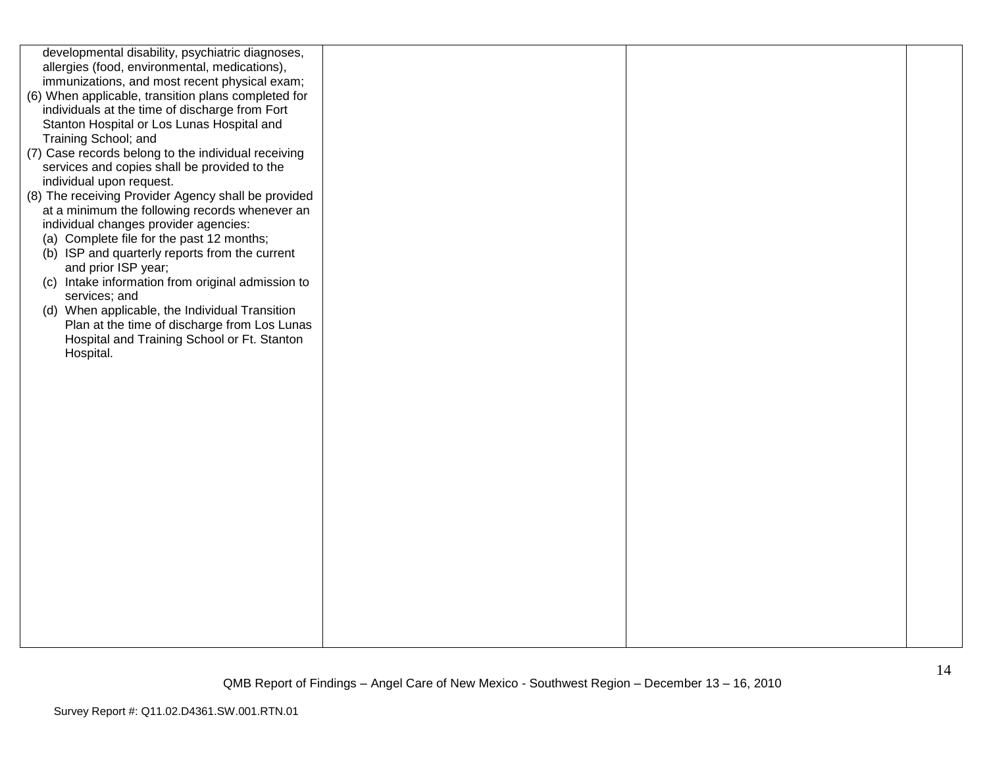| developmental disability, psychiatric diagnoses,    |  |  |
|-----------------------------------------------------|--|--|
| allergies (food, environmental, medications),       |  |  |
| immunizations, and most recent physical exam;       |  |  |
| (6) When applicable, transition plans completed for |  |  |
| individuals at the time of discharge from Fort      |  |  |
| Stanton Hospital or Los Lunas Hospital and          |  |  |
| Training School; and                                |  |  |
|                                                     |  |  |
| (7) Case records belong to the individual receiving |  |  |
| services and copies shall be provided to the        |  |  |
| individual upon request.                            |  |  |
| (8) The receiving Provider Agency shall be provided |  |  |
| at a minimum the following records whenever an      |  |  |
| individual changes provider agencies:               |  |  |
| (a) Complete file for the past 12 months;           |  |  |
| (b) ISP and quarterly reports from the current      |  |  |
| and prior ISP year;                                 |  |  |
| (c) Intake information from original admission to   |  |  |
| services; and                                       |  |  |
| (d) When applicable, the Individual Transition      |  |  |
| Plan at the time of discharge from Los Lunas        |  |  |
| Hospital and Training School or Ft. Stanton         |  |  |
| Hospital.                                           |  |  |
|                                                     |  |  |
|                                                     |  |  |
|                                                     |  |  |
|                                                     |  |  |
|                                                     |  |  |
|                                                     |  |  |
|                                                     |  |  |
|                                                     |  |  |
|                                                     |  |  |
|                                                     |  |  |
|                                                     |  |  |
|                                                     |  |  |
|                                                     |  |  |
|                                                     |  |  |
|                                                     |  |  |
|                                                     |  |  |
|                                                     |  |  |
|                                                     |  |  |
|                                                     |  |  |
|                                                     |  |  |
|                                                     |  |  |
|                                                     |  |  |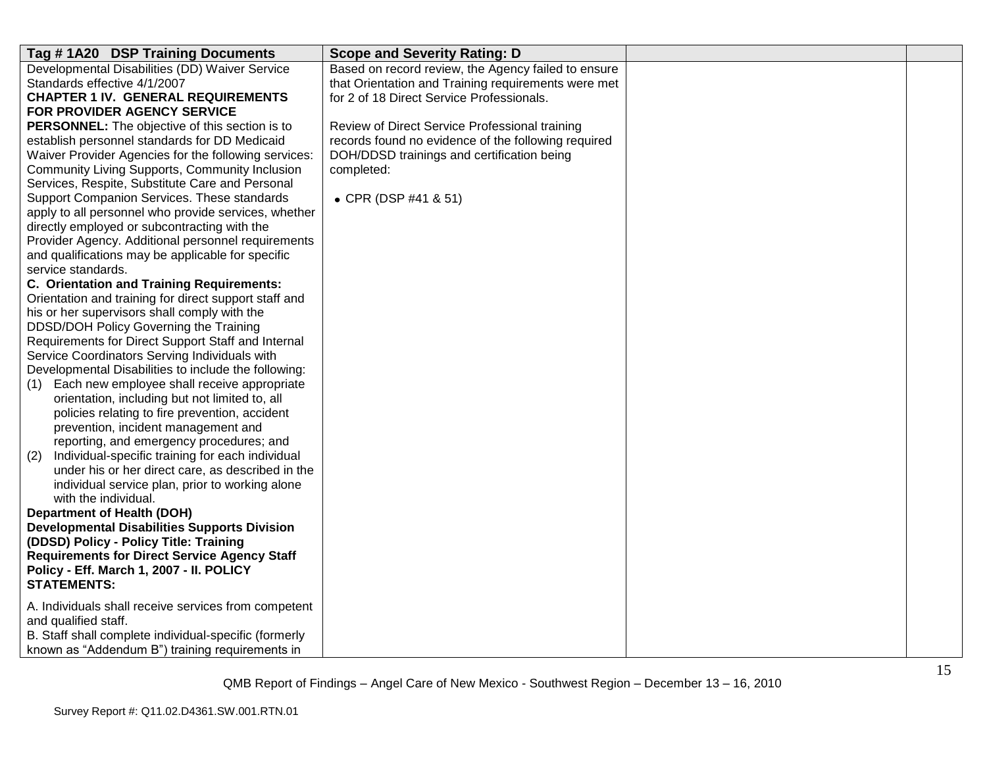| Tag #1A20 DSP Training Documents                                                                     | <b>Scope and Severity Rating: D</b>                 |  |
|------------------------------------------------------------------------------------------------------|-----------------------------------------------------|--|
| Developmental Disabilities (DD) Waiver Service                                                       | Based on record review, the Agency failed to ensure |  |
| Standards effective 4/1/2007                                                                         | that Orientation and Training requirements were met |  |
| <b>CHAPTER 1 IV. GENERAL REQUIREMENTS</b>                                                            | for 2 of 18 Direct Service Professionals.           |  |
| FOR PROVIDER AGENCY SERVICE                                                                          |                                                     |  |
| <b>PERSONNEL:</b> The objective of this section is to                                                | Review of Direct Service Professional training      |  |
| establish personnel standards for DD Medicaid                                                        | records found no evidence of the following required |  |
| Waiver Provider Agencies for the following services:                                                 | DOH/DDSD trainings and certification being          |  |
| Community Living Supports, Community Inclusion                                                       | completed:                                          |  |
| Services, Respite, Substitute Care and Personal                                                      |                                                     |  |
| Support Companion Services. These standards                                                          | • CPR (DSP #41 & 51)                                |  |
| apply to all personnel who provide services, whether                                                 |                                                     |  |
| directly employed or subcontracting with the                                                         |                                                     |  |
| Provider Agency. Additional personnel requirements                                                   |                                                     |  |
| and qualifications may be applicable for specific                                                    |                                                     |  |
| service standards.                                                                                   |                                                     |  |
| <b>C. Orientation and Training Requirements:</b>                                                     |                                                     |  |
| Orientation and training for direct support staff and                                                |                                                     |  |
| his or her supervisors shall comply with the                                                         |                                                     |  |
| DDSD/DOH Policy Governing the Training                                                               |                                                     |  |
| Requirements for Direct Support Staff and Internal                                                   |                                                     |  |
| Service Coordinators Serving Individuals with                                                        |                                                     |  |
| Developmental Disabilities to include the following:                                                 |                                                     |  |
| Each new employee shall receive appropriate<br>(1)<br>orientation, including but not limited to, all |                                                     |  |
| policies relating to fire prevention, accident                                                       |                                                     |  |
| prevention, incident management and                                                                  |                                                     |  |
| reporting, and emergency procedures; and                                                             |                                                     |  |
| Individual-specific training for each individual<br>(2)                                              |                                                     |  |
| under his or her direct care, as described in the                                                    |                                                     |  |
| individual service plan, prior to working alone                                                      |                                                     |  |
| with the individual.                                                                                 |                                                     |  |
| <b>Department of Health (DOH)</b>                                                                    |                                                     |  |
| <b>Developmental Disabilities Supports Division</b>                                                  |                                                     |  |
| (DDSD) Policy - Policy Title: Training                                                               |                                                     |  |
| <b>Requirements for Direct Service Agency Staff</b>                                                  |                                                     |  |
| Policy - Eff. March 1, 2007 - II. POLICY                                                             |                                                     |  |
| <b>STATEMENTS:</b>                                                                                   |                                                     |  |
|                                                                                                      |                                                     |  |
| A. Individuals shall receive services from competent<br>and qualified staff.                         |                                                     |  |
| B. Staff shall complete individual-specific (formerly                                                |                                                     |  |
|                                                                                                      |                                                     |  |
| known as "Addendum B") training requirements in                                                      |                                                     |  |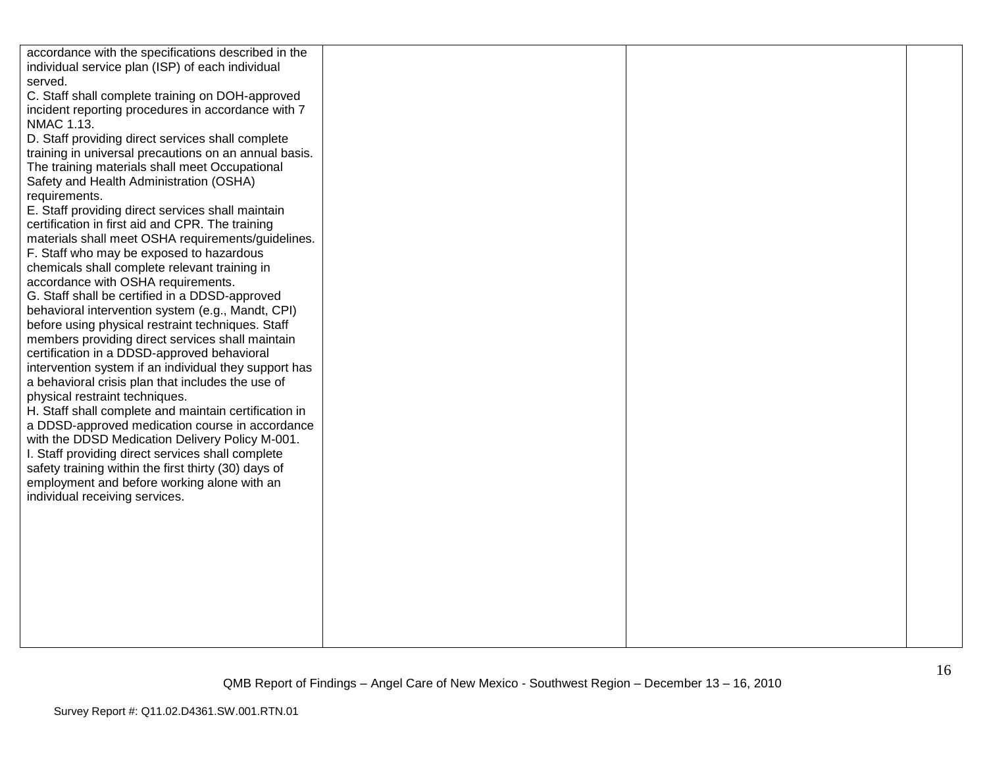| accordance with the specifications described in the<br>individual service plan (ISP) of each individual<br>served.<br>C. Staff shall complete training on DOH-approved<br>incident reporting procedures in accordance with 7<br>NMAC 1.13.<br>D. Staff providing direct services shall complete<br>training in universal precautions on an annual basis.<br>The training materials shall meet Occupational                                                                                                                                                                                                                      |  |  |
|---------------------------------------------------------------------------------------------------------------------------------------------------------------------------------------------------------------------------------------------------------------------------------------------------------------------------------------------------------------------------------------------------------------------------------------------------------------------------------------------------------------------------------------------------------------------------------------------------------------------------------|--|--|
| Safety and Health Administration (OSHA)<br>requirements.<br>E. Staff providing direct services shall maintain<br>certification in first aid and CPR. The training<br>materials shall meet OSHA requirements/guidelines.<br>F. Staff who may be exposed to hazardous<br>chemicals shall complete relevant training in<br>accordance with OSHA requirements.<br>G. Staff shall be certified in a DDSD-approved<br>behavioral intervention system (e.g., Mandt, CPI)                                                                                                                                                               |  |  |
| before using physical restraint techniques. Staff<br>members providing direct services shall maintain<br>certification in a DDSD-approved behavioral<br>intervention system if an individual they support has<br>a behavioral crisis plan that includes the use of<br>physical restraint techniques.<br>H. Staff shall complete and maintain certification in<br>a DDSD-approved medication course in accordance<br>with the DDSD Medication Delivery Policy M-001.<br>I. Staff providing direct services shall complete<br>safety training within the first thirty (30) days of<br>employment and before working alone with an |  |  |
| individual receiving services.                                                                                                                                                                                                                                                                                                                                                                                                                                                                                                                                                                                                  |  |  |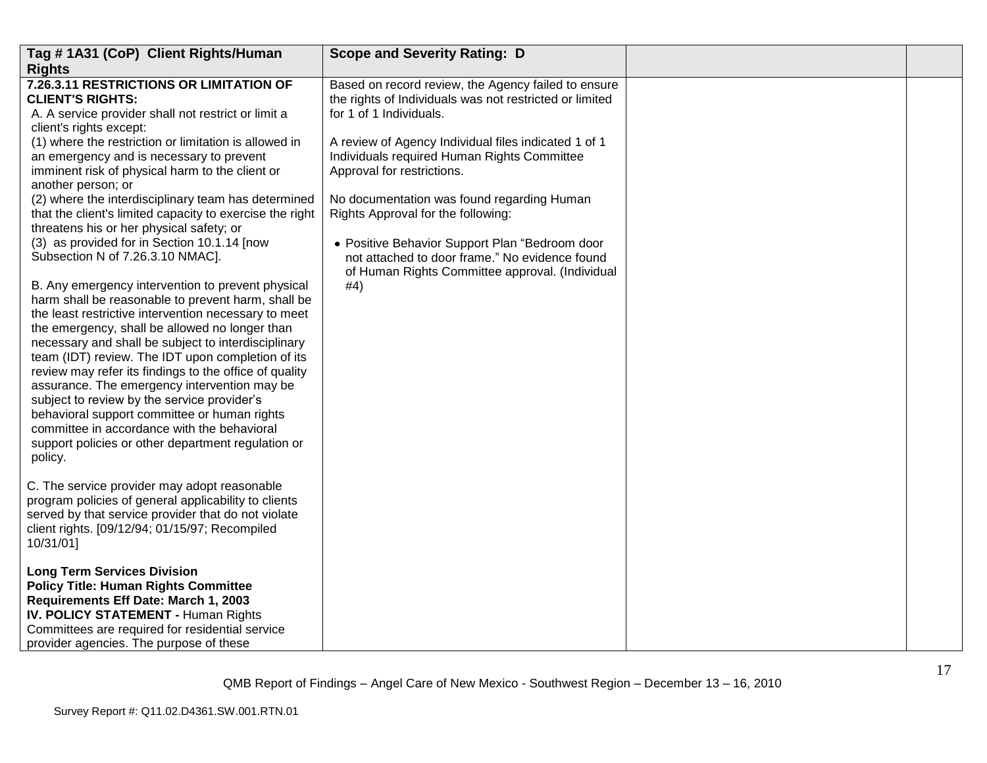| Tag #1A31 (CoP) Client Rights/Human                                                                                                                                                                                                                                                                                                                                                                                                                                                                                                                                                                                                                                                                                                                                                                                                                                                                                                                                                                                                                                                    | <b>Scope and Severity Rating: D</b>                                                                                                                                                                                                                                                                                                                                                 |  |
|----------------------------------------------------------------------------------------------------------------------------------------------------------------------------------------------------------------------------------------------------------------------------------------------------------------------------------------------------------------------------------------------------------------------------------------------------------------------------------------------------------------------------------------------------------------------------------------------------------------------------------------------------------------------------------------------------------------------------------------------------------------------------------------------------------------------------------------------------------------------------------------------------------------------------------------------------------------------------------------------------------------------------------------------------------------------------------------|-------------------------------------------------------------------------------------------------------------------------------------------------------------------------------------------------------------------------------------------------------------------------------------------------------------------------------------------------------------------------------------|--|
| <b>Rights</b>                                                                                                                                                                                                                                                                                                                                                                                                                                                                                                                                                                                                                                                                                                                                                                                                                                                                                                                                                                                                                                                                          |                                                                                                                                                                                                                                                                                                                                                                                     |  |
| 7.26.3.11 RESTRICTIONS OR LIMITATION OF<br><b>CLIENT'S RIGHTS:</b><br>A. A service provider shall not restrict or limit a<br>client's rights except:                                                                                                                                                                                                                                                                                                                                                                                                                                                                                                                                                                                                                                                                                                                                                                                                                                                                                                                                   | Based on record review, the Agency failed to ensure<br>the rights of Individuals was not restricted or limited<br>for 1 of 1 Individuals.                                                                                                                                                                                                                                           |  |
| (1) where the restriction or limitation is allowed in<br>an emergency and is necessary to prevent<br>imminent risk of physical harm to the client or<br>another person; or<br>(2) where the interdisciplinary team has determined<br>that the client's limited capacity to exercise the right<br>threatens his or her physical safety; or<br>(3) as provided for in Section 10.1.14 [now<br>Subsection N of 7.26.3.10 NMAC].<br>B. Any emergency intervention to prevent physical<br>harm shall be reasonable to prevent harm, shall be<br>the least restrictive intervention necessary to meet<br>the emergency, shall be allowed no longer than<br>necessary and shall be subject to interdisciplinary<br>team (IDT) review. The IDT upon completion of its<br>review may refer its findings to the office of quality<br>assurance. The emergency intervention may be<br>subject to review by the service provider's<br>behavioral support committee or human rights<br>committee in accordance with the behavioral<br>support policies or other department regulation or<br>policy. | A review of Agency Individual files indicated 1 of 1<br>Individuals required Human Rights Committee<br>Approval for restrictions.<br>No documentation was found regarding Human<br>Rights Approval for the following:<br>• Positive Behavior Support Plan "Bedroom door<br>not attached to door frame." No evidence found<br>of Human Rights Committee approval. (Individual<br>#4) |  |
| C. The service provider may adopt reasonable<br>program policies of general applicability to clients<br>served by that service provider that do not violate<br>client rights. [09/12/94; 01/15/97; Recompiled<br>10/31/01]                                                                                                                                                                                                                                                                                                                                                                                                                                                                                                                                                                                                                                                                                                                                                                                                                                                             |                                                                                                                                                                                                                                                                                                                                                                                     |  |
| <b>Long Term Services Division</b><br><b>Policy Title: Human Rights Committee</b><br>Requirements Eff Date: March 1, 2003<br>IV. POLICY STATEMENT - Human Rights<br>Committees are required for residential service<br>provider agencies. The purpose of these                                                                                                                                                                                                                                                                                                                                                                                                                                                                                                                                                                                                                                                                                                                                                                                                                         |                                                                                                                                                                                                                                                                                                                                                                                     |  |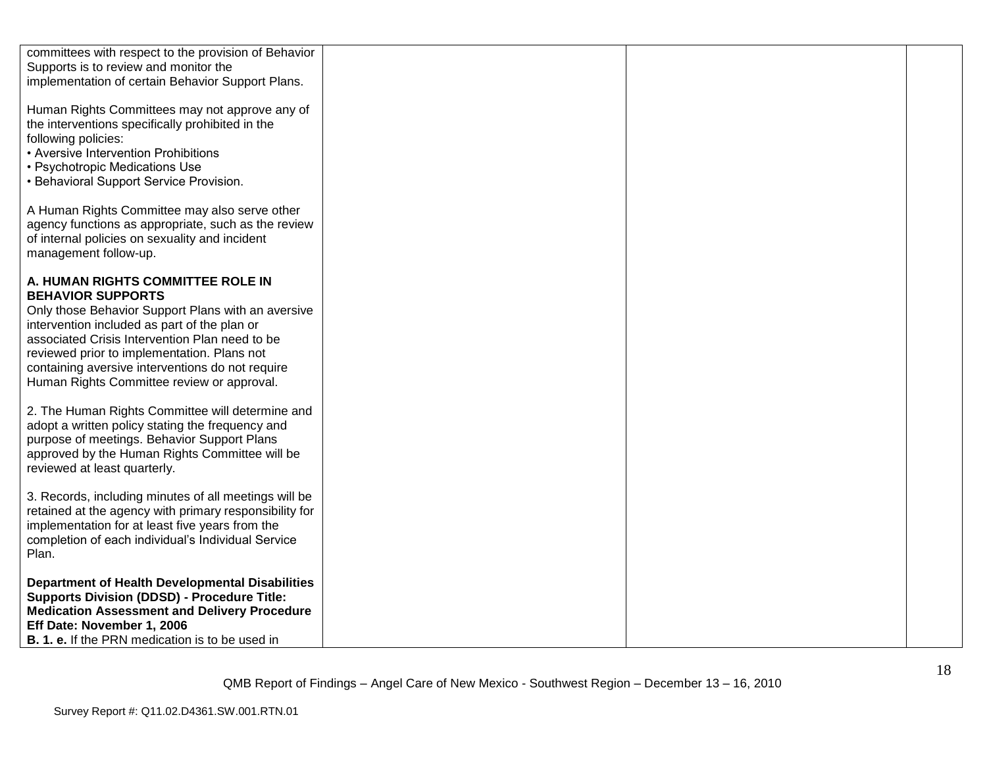| committees with respect to the provision of Behavior<br>Supports is to review and monitor the<br>implementation of certain Behavior Support Plans.                                                                                                                                                                                                                     |  |
|------------------------------------------------------------------------------------------------------------------------------------------------------------------------------------------------------------------------------------------------------------------------------------------------------------------------------------------------------------------------|--|
| Human Rights Committees may not approve any of<br>the interventions specifically prohibited in the<br>following policies:<br>• Aversive Intervention Prohibitions<br>• Psychotropic Medications Use<br>• Behavioral Support Service Provision.                                                                                                                         |  |
| A Human Rights Committee may also serve other<br>agency functions as appropriate, such as the review<br>of internal policies on sexuality and incident<br>management follow-up.                                                                                                                                                                                        |  |
| A. HUMAN RIGHTS COMMITTEE ROLE IN<br><b>BEHAVIOR SUPPORTS</b><br>Only those Behavior Support Plans with an aversive<br>intervention included as part of the plan or<br>associated Crisis Intervention Plan need to be<br>reviewed prior to implementation. Plans not<br>containing aversive interventions do not require<br>Human Rights Committee review or approval. |  |
| 2. The Human Rights Committee will determine and<br>adopt a written policy stating the frequency and<br>purpose of meetings. Behavior Support Plans<br>approved by the Human Rights Committee will be<br>reviewed at least quarterly.                                                                                                                                  |  |
| 3. Records, including minutes of all meetings will be<br>retained at the agency with primary responsibility for<br>implementation for at least five years from the<br>completion of each individual's Individual Service<br>Plan.                                                                                                                                      |  |
| <b>Department of Health Developmental Disabilities</b><br><b>Supports Division (DDSD) - Procedure Title:</b><br><b>Medication Assessment and Delivery Procedure</b><br>Eff Date: November 1, 2006<br><b>B. 1. e.</b> If the PRN medication is to be used in                                                                                                            |  |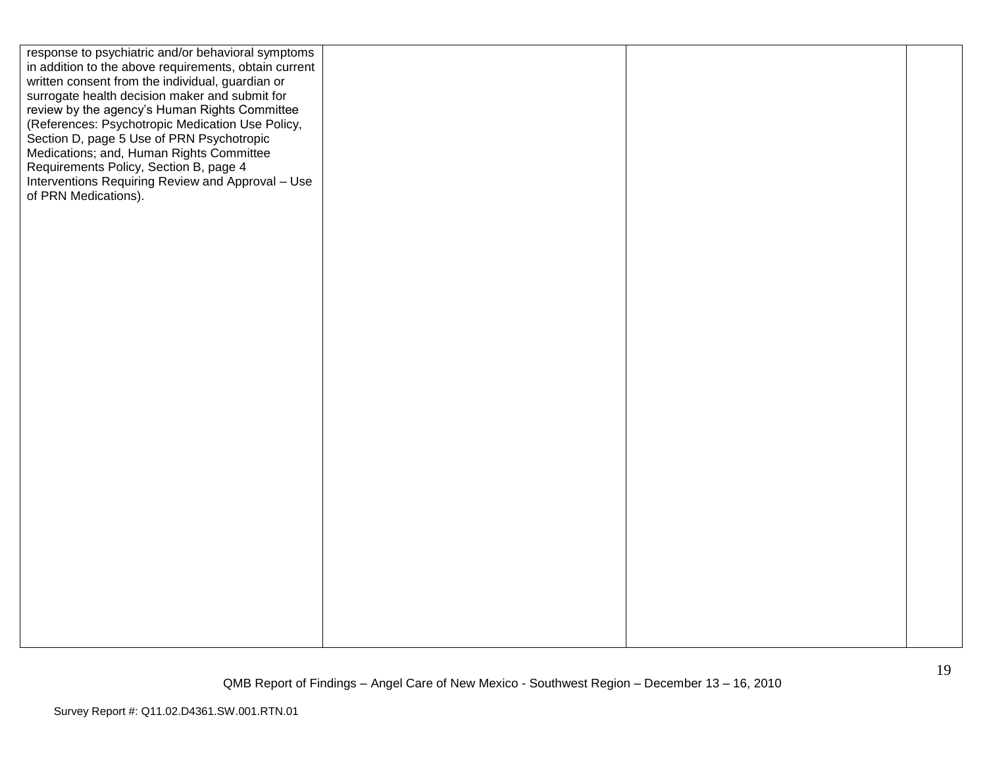| response to psychiatric and/or behavioral symptoms<br>in addition to the above requirements, obtain current<br>written consent from the individual, guardian or<br>surrogate health decision maker and submit for<br>review by the agency's Human Rights Committee<br>(References: Psychotropic Medication Use Policy,<br>Section D, page 5 Use of PRN Psychotropic<br>Medications; and, Human Rights Committee<br>Requirements Policy, Section B, page 4<br>Interventions Requiring Review and Approval - Use<br>of PRN Medications). |  |  |
|----------------------------------------------------------------------------------------------------------------------------------------------------------------------------------------------------------------------------------------------------------------------------------------------------------------------------------------------------------------------------------------------------------------------------------------------------------------------------------------------------------------------------------------|--|--|
|                                                                                                                                                                                                                                                                                                                                                                                                                                                                                                                                        |  |  |
|                                                                                                                                                                                                                                                                                                                                                                                                                                                                                                                                        |  |  |
|                                                                                                                                                                                                                                                                                                                                                                                                                                                                                                                                        |  |  |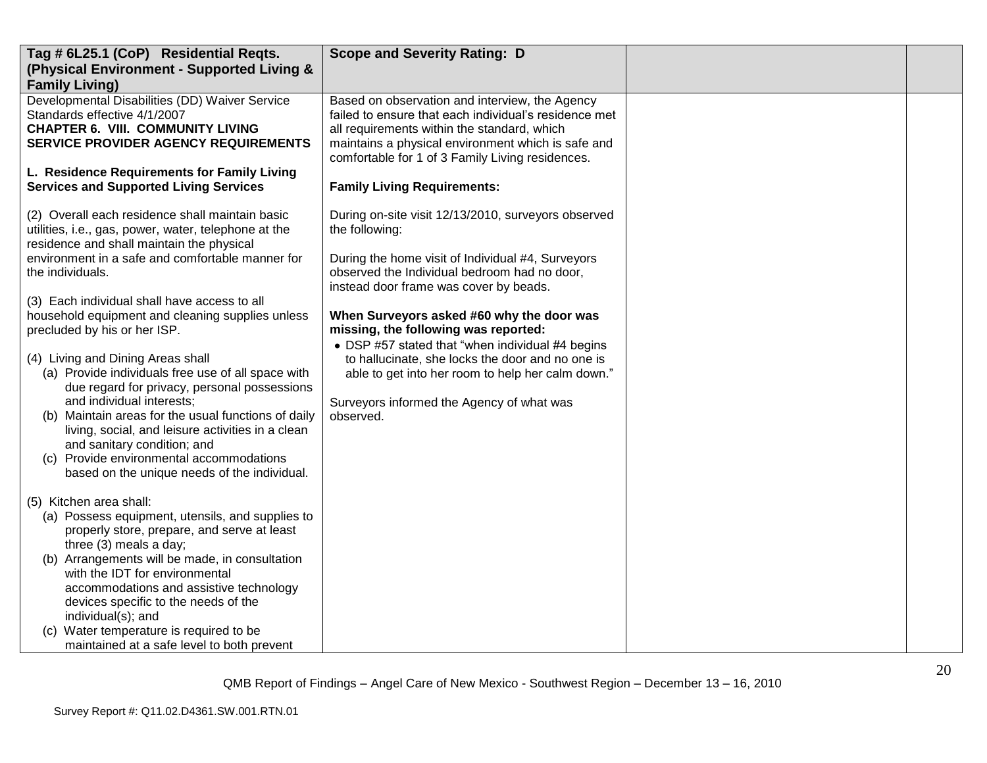| Tag # 6L25.1 (CoP) Residential Reqts.<br>(Physical Environment - Supported Living &<br><b>Family Living)</b>                                                                                                                                                                                                                                                                                                                                                                                                                                                                                                                                                                                                                                                                                                                                                                                                                                                                                                                                                                                                                         | <b>Scope and Severity Rating: D</b>                                                                                                                                                                                                                                                                                                                                                                                                                                                                                              |  |
|--------------------------------------------------------------------------------------------------------------------------------------------------------------------------------------------------------------------------------------------------------------------------------------------------------------------------------------------------------------------------------------------------------------------------------------------------------------------------------------------------------------------------------------------------------------------------------------------------------------------------------------------------------------------------------------------------------------------------------------------------------------------------------------------------------------------------------------------------------------------------------------------------------------------------------------------------------------------------------------------------------------------------------------------------------------------------------------------------------------------------------------|----------------------------------------------------------------------------------------------------------------------------------------------------------------------------------------------------------------------------------------------------------------------------------------------------------------------------------------------------------------------------------------------------------------------------------------------------------------------------------------------------------------------------------|--|
| Developmental Disabilities (DD) Waiver Service<br>Standards effective 4/1/2007<br><b>CHAPTER 6. VIII. COMMUNITY LIVING</b><br>SERVICE PROVIDER AGENCY REQUIREMENTS                                                                                                                                                                                                                                                                                                                                                                                                                                                                                                                                                                                                                                                                                                                                                                                                                                                                                                                                                                   | Based on observation and interview, the Agency<br>failed to ensure that each individual's residence met<br>all requirements within the standard, which<br>maintains a physical environment which is safe and<br>comfortable for 1 of 3 Family Living residences.                                                                                                                                                                                                                                                                 |  |
| L. Residence Requirements for Family Living<br><b>Services and Supported Living Services</b>                                                                                                                                                                                                                                                                                                                                                                                                                                                                                                                                                                                                                                                                                                                                                                                                                                                                                                                                                                                                                                         | <b>Family Living Requirements:</b>                                                                                                                                                                                                                                                                                                                                                                                                                                                                                               |  |
| (2) Overall each residence shall maintain basic<br>utilities, i.e., gas, power, water, telephone at the<br>residence and shall maintain the physical<br>environment in a safe and comfortable manner for<br>the individuals.<br>(3) Each individual shall have access to all<br>household equipment and cleaning supplies unless<br>precluded by his or her ISP.<br>(4) Living and Dining Areas shall<br>(a) Provide individuals free use of all space with<br>due regard for privacy, personal possessions<br>and individual interests;<br>(b) Maintain areas for the usual functions of daily<br>living, social, and leisure activities in a clean<br>and sanitary condition; and<br>(c) Provide environmental accommodations<br>based on the unique needs of the individual.<br>(5) Kitchen area shall:<br>(a) Possess equipment, utensils, and supplies to<br>properly store, prepare, and serve at least<br>three (3) meals a day;<br>(b) Arrangements will be made, in consultation<br>with the IDT for environmental<br>accommodations and assistive technology<br>devices specific to the needs of the<br>individual(s); and | During on-site visit 12/13/2010, surveyors observed<br>the following:<br>During the home visit of Individual #4, Surveyors<br>observed the Individual bedroom had no door,<br>instead door frame was cover by beads.<br>When Surveyors asked #60 why the door was<br>missing, the following was reported:<br>• DSP #57 stated that "when individual #4 begins<br>to hallucinate, she locks the door and no one is<br>able to get into her room to help her calm down."<br>Surveyors informed the Agency of what was<br>observed. |  |
| (c) Water temperature is required to be<br>maintained at a safe level to both prevent                                                                                                                                                                                                                                                                                                                                                                                                                                                                                                                                                                                                                                                                                                                                                                                                                                                                                                                                                                                                                                                |                                                                                                                                                                                                                                                                                                                                                                                                                                                                                                                                  |  |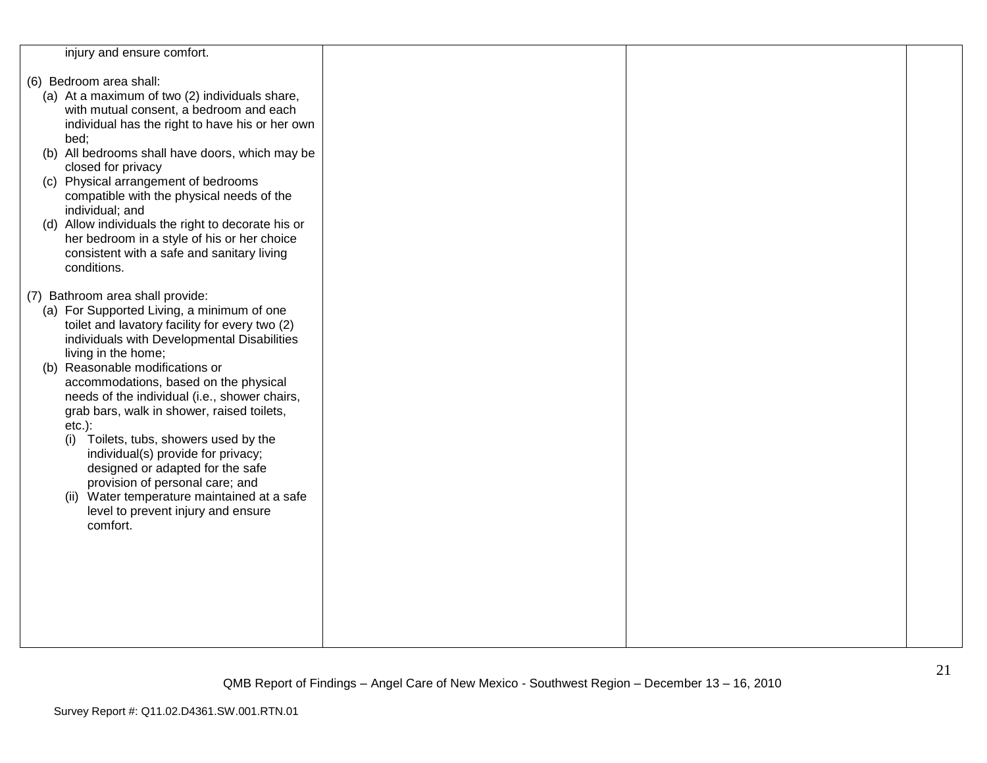| injury and ensure comfort.                                                                    |  |  |
|-----------------------------------------------------------------------------------------------|--|--|
| (6) Bedroom area shall:                                                                       |  |  |
| (a) At a maximum of two (2) individuals share,                                                |  |  |
| with mutual consent, a bedroom and each                                                       |  |  |
| individual has the right to have his or her own                                               |  |  |
| bed;                                                                                          |  |  |
| (b) All bedrooms shall have doors, which may be<br>closed for privacy                         |  |  |
| (c) Physical arrangement of bedrooms                                                          |  |  |
| compatible with the physical needs of the                                                     |  |  |
| individual; and                                                                               |  |  |
| (d) Allow individuals the right to decorate his or                                            |  |  |
| her bedroom in a style of his or her choice<br>consistent with a safe and sanitary living     |  |  |
| conditions.                                                                                   |  |  |
|                                                                                               |  |  |
| (7) Bathroom area shall provide:                                                              |  |  |
| (a) For Supported Living, a minimum of one                                                    |  |  |
| toilet and lavatory facility for every two (2)<br>individuals with Developmental Disabilities |  |  |
| living in the home;                                                                           |  |  |
| (b) Reasonable modifications or                                                               |  |  |
| accommodations, based on the physical                                                         |  |  |
| needs of the individual (i.e., shower chairs,<br>grab bars, walk in shower, raised toilets,   |  |  |
| $etc.$ ):                                                                                     |  |  |
| Toilets, tubs, showers used by the<br>(i)                                                     |  |  |
| individual(s) provide for privacy;                                                            |  |  |
| designed or adapted for the safe                                                              |  |  |
| provision of personal care; and<br>(ii) Water temperature maintained at a safe                |  |  |
| level to prevent injury and ensure                                                            |  |  |
| comfort.                                                                                      |  |  |
|                                                                                               |  |  |
|                                                                                               |  |  |
|                                                                                               |  |  |
|                                                                                               |  |  |
|                                                                                               |  |  |
|                                                                                               |  |  |
|                                                                                               |  |  |